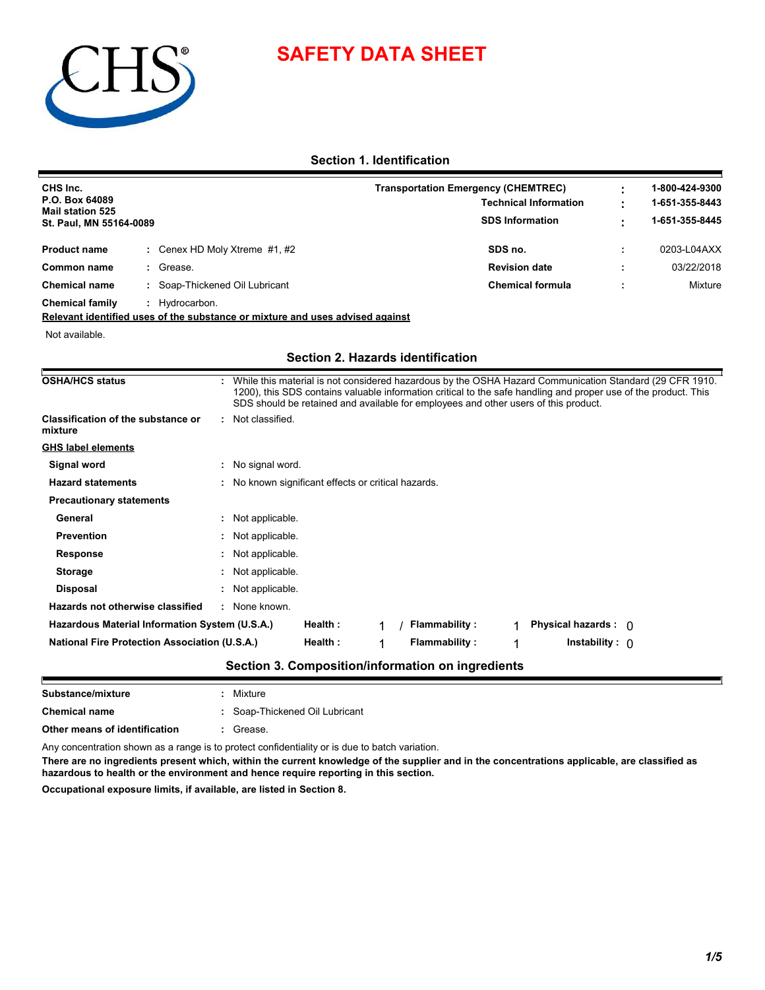# **SAFETY DATA SHEET**



### **Section 1. Identification**

| CHS Inc.<br>P.O. Box 64089<br><b>Mail station 525</b><br>St. Paul, MN 55164-0089 |  |                                 | <b>Transportation Emergency (CHEMTREC)</b><br><b>Technical Information</b><br><b>SDS Information</b> |   | 1-800-424-9300<br>1-651-355-8443<br>1-651-355-8445 |  |
|----------------------------------------------------------------------------------|--|---------------------------------|------------------------------------------------------------------------------------------------------|---|----------------------------------------------------|--|
| <b>Product name</b>                                                              |  | : Cenex HD Moly Xtreme $#1, #2$ | SDS no.                                                                                              | ÷ | 0203-L04AXX                                        |  |
| Common name                                                                      |  | Grease.                         | <b>Revision date</b>                                                                                 |   | 03/22/2018                                         |  |
| <b>Chemical name</b>                                                             |  | Soap-Thickened Oil Lubricant    | <b>Chemical formula</b>                                                                              |   | Mixture                                            |  |
| <b>Chemical family</b>                                                           |  | Hydrocarbon.                    |                                                                                                      |   |                                                    |  |

**Relevant identified uses of the substance or mixture and uses advised against**

Not available.

#### **Section 2. Hazards identification**

| <b>OSHA/HCS status</b>                               |                                                     |         |   | SDS should be retained and available for employees and other users of this product. |   | While this material is not considered hazardous by the OSHA Hazard Communication Standard (29 CFR 1910.<br>1200), this SDS contains valuable information critical to the safe handling and proper use of the product. This |  |
|------------------------------------------------------|-----------------------------------------------------|---------|---|-------------------------------------------------------------------------------------|---|----------------------------------------------------------------------------------------------------------------------------------------------------------------------------------------------------------------------------|--|
| <b>Classification of the substance or</b><br>mixture | : Not classified.                                   |         |   |                                                                                     |   |                                                                                                                                                                                                                            |  |
| <b>GHS label elements</b>                            |                                                     |         |   |                                                                                     |   |                                                                                                                                                                                                                            |  |
| Signal word                                          | : No signal word.                                   |         |   |                                                                                     |   |                                                                                                                                                                                                                            |  |
| <b>Hazard statements</b>                             | : No known significant effects or critical hazards. |         |   |                                                                                     |   |                                                                                                                                                                                                                            |  |
| <b>Precautionary statements</b>                      |                                                     |         |   |                                                                                     |   |                                                                                                                                                                                                                            |  |
| General                                              | : Not applicable.                                   |         |   |                                                                                     |   |                                                                                                                                                                                                                            |  |
| <b>Prevention</b>                                    | : Not applicable.                                   |         |   |                                                                                     |   |                                                                                                                                                                                                                            |  |
| <b>Response</b>                                      | : Not applicable.                                   |         |   |                                                                                     |   |                                                                                                                                                                                                                            |  |
| <b>Storage</b>                                       | : Not applicable.                                   |         |   |                                                                                     |   |                                                                                                                                                                                                                            |  |
| <b>Disposal</b>                                      | : Not applicable.                                   |         |   |                                                                                     |   |                                                                                                                                                                                                                            |  |
| Hazards not otherwise classified                     | : None known.                                       |         |   |                                                                                     |   |                                                                                                                                                                                                                            |  |
| Hazardous Material Information System (U.S.A.)       |                                                     | Health: |   | Flammability:                                                                       |   | Physical hazards : $\bigcap$                                                                                                                                                                                               |  |
| <b>National Fire Protection Association (U.S.A.)</b> |                                                     | Health: | 1 | <b>Flammability:</b>                                                                | 1 | Instability: $\cap$                                                                                                                                                                                                        |  |

| Substance/mixture                            | : Mixture                      |
|----------------------------------------------|--------------------------------|
| <b>Chemical name</b>                         | : Soap-Thickened Oil Lubricant |
| Other means of identification                | Grease.                        |
| $\sim$ $\sim$<br>$\sim$ $\sim$ $\sim$ $\sim$ |                                |

Any concentration shown as a range is to protect confidentiality or is due to batch variation.

**There are no ingredients present which, within the current knowledge of the supplier and in the concentrations applicable, are classified as hazardous to health or the environment and hence require reporting in this section.**

**Occupational exposure limits, if available, are listed in Section 8.**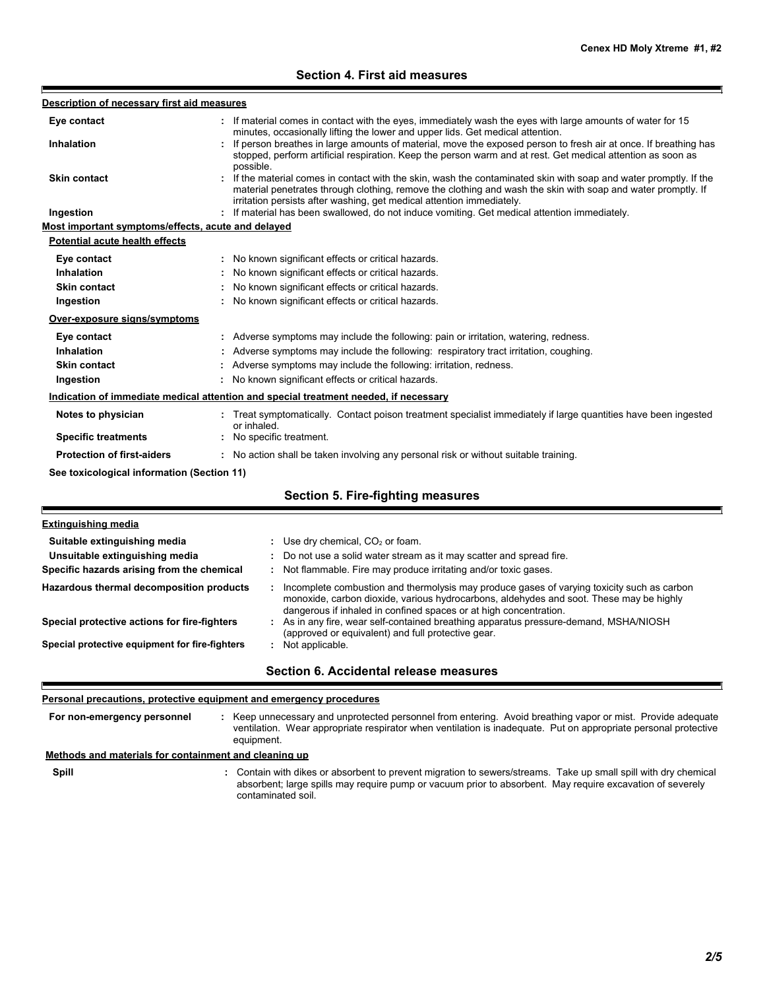## **Section 4. First aid measures**

| Description of necessary first aid measures        |                                                                                                                                                                                                                                                                                                          |
|----------------------------------------------------|----------------------------------------------------------------------------------------------------------------------------------------------------------------------------------------------------------------------------------------------------------------------------------------------------------|
| Eye contact                                        | If material comes in contact with the eyes, immediately wash the eyes with large amounts of water for 15<br>minutes, occasionally lifting the lower and upper lids. Get medical attention.                                                                                                               |
| <b>Inhalation</b>                                  | : If person breathes in large amounts of material, move the exposed person to fresh air at once. If breathing has<br>stopped, perform artificial respiration. Keep the person warm and at rest. Get medical attention as soon as<br>possible.                                                            |
| <b>Skin contact</b>                                | If the material comes in contact with the skin, wash the contaminated skin with soap and water promptly. If the<br>material penetrates through clothing, remove the clothing and wash the skin with soap and water promptly. If<br>irritation persists after washing, get medical attention immediately. |
| Ingestion                                          | If material has been swallowed, do not induce vomiting. Get medical attention immediately.                                                                                                                                                                                                               |
| Most important symptoms/effects, acute and delayed |                                                                                                                                                                                                                                                                                                          |
| <b>Potential acute health effects</b>              |                                                                                                                                                                                                                                                                                                          |
| Eye contact                                        | : No known significant effects or critical hazards.                                                                                                                                                                                                                                                      |
| Inhalation                                         | : No known significant effects or critical hazards.                                                                                                                                                                                                                                                      |
| <b>Skin contact</b>                                | No known significant effects or critical hazards.                                                                                                                                                                                                                                                        |
| Ingestion                                          | : No known significant effects or critical hazards.                                                                                                                                                                                                                                                      |
| Over-exposure signs/symptoms                       |                                                                                                                                                                                                                                                                                                          |
| Eye contact                                        | : Adverse symptoms may include the following: pain or irritation, watering, redness.                                                                                                                                                                                                                     |
| Inhalation                                         | Adverse symptoms may include the following: respiratory tract irritation, coughing.                                                                                                                                                                                                                      |
| <b>Skin contact</b>                                | Adverse symptoms may include the following: irritation, redness.                                                                                                                                                                                                                                         |
| Ingestion                                          | : No known significant effects or critical hazards.                                                                                                                                                                                                                                                      |
|                                                    | Indication of immediate medical attention and special treatment needed, if necessary                                                                                                                                                                                                                     |
| Notes to physician                                 | : Treat symptomatically. Contact poison treatment specialist immediately if large quantities have been ingested<br>or inhaled.                                                                                                                                                                           |
| <b>Specific treatments</b>                         | : No specific treatment.                                                                                                                                                                                                                                                                                 |
| <b>Protection of first-aiders</b>                  | : No action shall be taken involving any personal risk or without suitable training.                                                                                                                                                                                                                     |
| See toxicological information (Section 11)         |                                                                                                                                                                                                                                                                                                          |
|                                                    | <b>Section 5. Fire-fighting measures</b>                                                                                                                                                                                                                                                                 |
|                                                    |                                                                                                                                                                                                                                                                                                          |

| <b>Extinguishing media</b>                     |                                                                                                                                                                                                                                                            |
|------------------------------------------------|------------------------------------------------------------------------------------------------------------------------------------------------------------------------------------------------------------------------------------------------------------|
| Suitable extinguishing media                   | : Use dry chemical, $CO2$ or foam.                                                                                                                                                                                                                         |
| Unsuitable extinguishing media                 | : Do not use a solid water stream as it may scatter and spread fire.                                                                                                                                                                                       |
| Specific hazards arising from the chemical     | : Not flammable. Fire may produce irritating and/or toxic gases.                                                                                                                                                                                           |
| Hazardous thermal decomposition products       | Incomplete combustion and thermolysis may produce gases of varying toxicity such as carbon<br>monoxide, carbon dioxide, various hydrocarbons, aldehydes and soot. These may be highly<br>dangerous if inhaled in confined spaces or at high concentration. |
| Special protective actions for fire-fighters   | : As in any fire, wear self-contained breathing apparatus pressure-demand, MSHA/NIOSH<br>(approved or equivalent) and full protective gear.                                                                                                                |
| Special protective equipment for fire-fighters | Not applicable.                                                                                                                                                                                                                                            |
|                                                | Section 6. Accidental release measures                                                                                                                                                                                                                     |

#### **Personal precautions, protective equipment and emergency procedures**

E

**Spill** Contain with dikes or absorbent to prevent migration to sewers/streams. Take up small spill with dry chemical absorbent; large spills may require pump or vacuum prior to absorbent. May require excavation of severely contaminated soil. **:** Keep unnecessary and unprotected personnel from entering. Avoid breathing vapor or mist. Provide adequate ventilation. Wear appropriate respirator when ventilation is inadequate. Put on appropriate personal protective equipment. **: Methods and materials for containment and cleaning up For non-emergency personnel**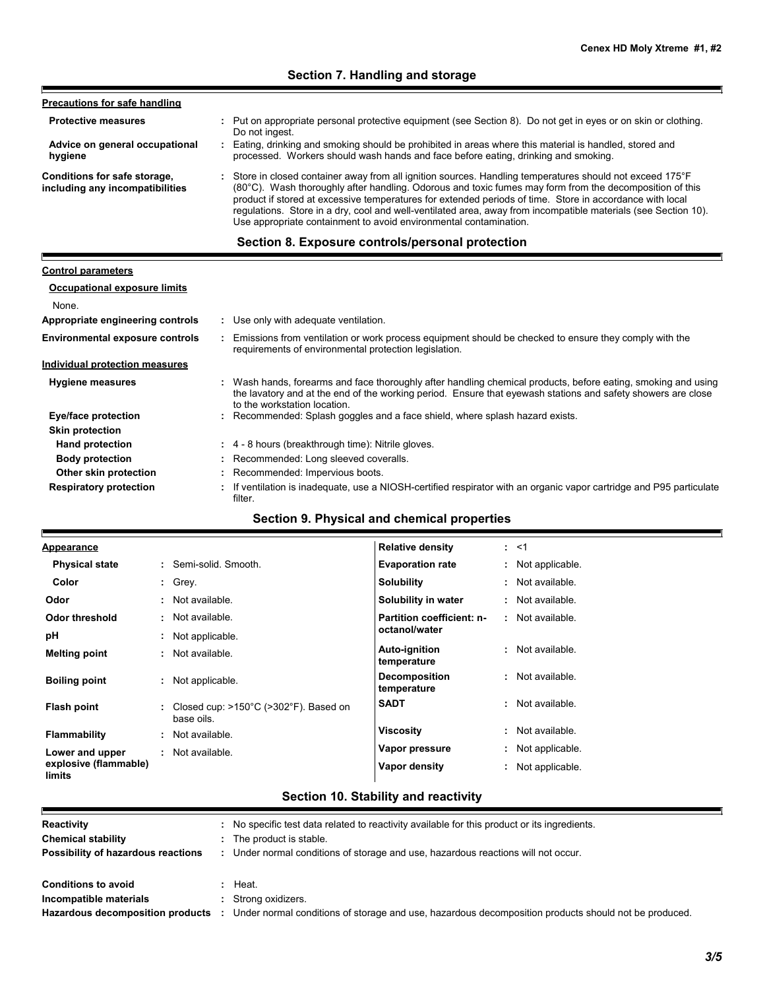| Put on appropriate personal protective equipment (see Section 8). Do not get in eyes or on skin or clothing.<br>÷.<br>Do not ingest.                                                                                                                                                                                                                                                                                                                                                                                    |
|-------------------------------------------------------------------------------------------------------------------------------------------------------------------------------------------------------------------------------------------------------------------------------------------------------------------------------------------------------------------------------------------------------------------------------------------------------------------------------------------------------------------------|
| Eating, drinking and smoking should be prohibited in areas where this material is handled, stored and<br>processed. Workers should wash hands and face before eating, drinking and smoking.                                                                                                                                                                                                                                                                                                                             |
| : Store in closed container away from all ignition sources. Handling temperatures should not exceed 175°F<br>(80°C). Wash thoroughly after handling. Odorous and toxic fumes may form from the decomposition of this<br>product if stored at excessive temperatures for extended periods of time. Store in accordance with local<br>requiations. Store in a dry, cool and well-ventilated area, away from incompatible materials (see Section 10).<br>Use appropriate containment to avoid environmental contamination. |
|                                                                                                                                                                                                                                                                                                                                                                                                                                                                                                                         |

I

| <b>Control parameters</b>              |                                                                                                                                                                                                                                                               |
|----------------------------------------|---------------------------------------------------------------------------------------------------------------------------------------------------------------------------------------------------------------------------------------------------------------|
| <b>Occupational exposure limits</b>    |                                                                                                                                                                                                                                                               |
| None.                                  |                                                                                                                                                                                                                                                               |
| Appropriate engineering controls       | : Use only with adequate ventilation.                                                                                                                                                                                                                         |
| <b>Environmental exposure controls</b> | . Emissions from ventilation or work process equipment should be checked to ensure they comply with the<br>requirements of environmental protection legislation.                                                                                              |
| Individual protection measures         |                                                                                                                                                                                                                                                               |
| <b>Hygiene measures</b>                | : Wash hands, forearms and face thoroughly after handling chemical products, before eating, smoking and using<br>the lavatory and at the end of the working period. Ensure that eyewash stations and safety showers are close<br>to the workstation location. |
| Eye/face protection                    | : Recommended: Splash goggles and a face shield, where splash hazard exists.                                                                                                                                                                                  |
| <b>Skin protection</b>                 |                                                                                                                                                                                                                                                               |
| <b>Hand protection</b>                 | : 4 - 8 hours (breakthrough time): Nitrile gloves.                                                                                                                                                                                                            |
| <b>Body protection</b>                 | : Recommended: Long sleeved coveralls.                                                                                                                                                                                                                        |
| Other skin protection                  | : Recommended: Impervious boots.                                                                                                                                                                                                                              |
| <b>Respiratory protection</b>          | If ventilation is inadequate, use a NIOSH-certified respirator with an organic vapor cartridge and P95 particulate<br>filter.                                                                                                                                 |

## **Section 9. Physical and chemical properties**

| <u>Appearance</u>               |    |                                                                          | <b>Relative density</b>             | : 1               |
|---------------------------------|----|--------------------------------------------------------------------------|-------------------------------------|-------------------|
| <b>Physical state</b>           |    | : Semi-solid Smooth.                                                     | <b>Evaporation rate</b>             | : Not applicable. |
| Color                           |    | $:$ Grey.                                                                | Solubility                          | : Not available.  |
| Odor                            |    | : Not available.                                                         | Solubility in water                 | : Not available.  |
| Odor threshold                  | ÷. | Not available.                                                           | Partition coefficient: n-           | : Not available.  |
| рH                              | ÷. | Not applicable.                                                          | octanol/water                       |                   |
| <b>Melting point</b>            |    | : Not available.                                                         | Auto-ignition<br>temperature        | : Not available.  |
| <b>Boiling point</b>            |    | : Not applicable.                                                        | <b>Decomposition</b><br>temperature | : Not available.  |
| Flash point                     |    | Closed cup: $>150^{\circ}$ C ( $>302^{\circ}$ F). Based on<br>base oils. | <b>SADT</b>                         | : Not available.  |
| <b>Flammability</b>             |    | : Not available.                                                         | <b>Viscosity</b>                    | : Not available.  |
| Lower and upper                 |    | Not available.                                                           | Vapor pressure                      | : Not applicable. |
| explosive (flammable)<br>limits |    |                                                                          | Vapor density                       | : Not applicable. |

# **Section 10. Stability and reactivity**

| Reactivity                         | No specific test data related to reactivity available for this product or its ingredients.           |
|------------------------------------|------------------------------------------------------------------------------------------------------|
| <b>Chemical stability</b>          | The product is stable.                                                                               |
| Possibility of hazardous reactions | Under normal conditions of storage and use, hazardous reactions will not occur.                      |
| <b>Conditions to avoid</b>         | Heat.                                                                                                |
| Incompatible materials             | Strong oxidizers.                                                                                    |
| Hazardous decomposition products   | Under normal conditions of storage and use, hazardous decomposition products should not be produced. |

٣j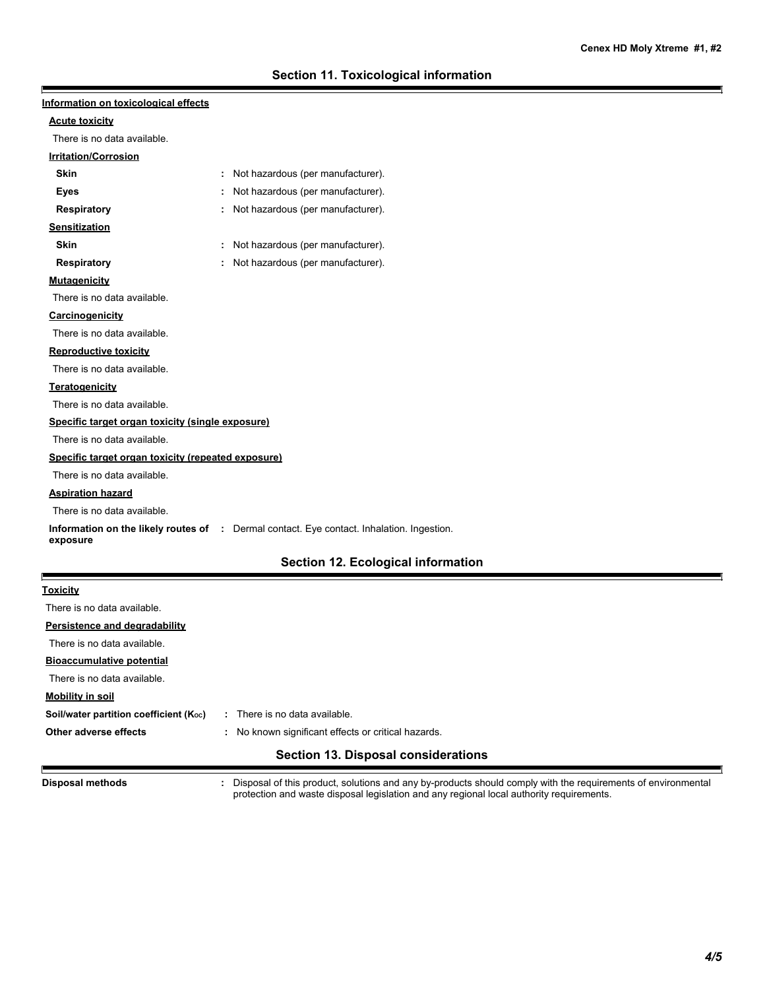| Information on toxicological effects               |                                                                                           |
|----------------------------------------------------|-------------------------------------------------------------------------------------------|
| <b>Acute toxicity</b>                              |                                                                                           |
| There is no data available.                        |                                                                                           |
| <b>Irritation/Corrosion</b>                        |                                                                                           |
| <b>Skin</b>                                        | Not hazardous (per manufacturer).                                                         |
| Eyes                                               | Not hazardous (per manufacturer).                                                         |
| <b>Respiratory</b>                                 | Not hazardous (per manufacturer).                                                         |
| <b>Sensitization</b>                               |                                                                                           |
| <b>Skin</b>                                        | Not hazardous (per manufacturer).                                                         |
| Respiratory                                        | : Not hazardous (per manufacturer).                                                       |
| <b>Mutagenicity</b>                                |                                                                                           |
| There is no data available.                        |                                                                                           |
| Carcinogenicity                                    |                                                                                           |
| There is no data available.                        |                                                                                           |
| <b>Reproductive toxicity</b>                       |                                                                                           |
| There is no data available.                        |                                                                                           |
| Teratogenicity                                     |                                                                                           |
| There is no data available.                        |                                                                                           |
| Specific target organ toxicity (single exposure)   |                                                                                           |
| There is no data available.                        |                                                                                           |
| Specific target organ toxicity (repeated exposure) |                                                                                           |
| There is no data available.                        |                                                                                           |
| <b>Aspiration hazard</b>                           |                                                                                           |
| There is no data available.                        |                                                                                           |
| exposure                                           | Information on the likely routes of : Dermal contact. Eye contact. Inhalation. Ingestion. |
|                                                    | <b>Section 12. Ecological information</b>                                                 |
| <b>Toxicity</b>                                    |                                                                                           |
| There is no data available.                        |                                                                                           |
| Persistence and degradability                      |                                                                                           |
| There is no data available.                        |                                                                                           |
| <b>Bioaccumulative potential</b>                   |                                                                                           |
| There is no data available.                        |                                                                                           |
| <b>Mobility in soil</b>                            |                                                                                           |
| Soil/water partition coefficient (Koc)             | : There is no data available.                                                             |
| Other adverse effects                              | : No known significant effects or critical hazards.                                       |
|                                                    | <b>Section 13. Disposal considerations</b>                                                |

**Disposal methods :**

E

Disposal of this product, solutions and any by-products should comply with the requirements of environmental protection and waste disposal legislation and any regional local authority requirements.